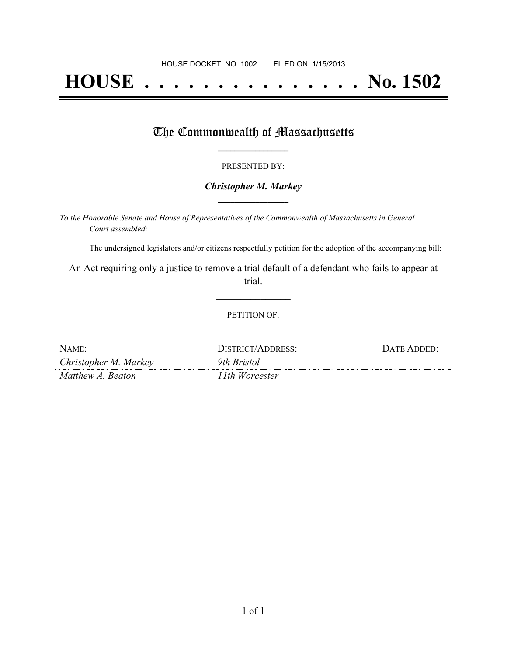# **HOUSE . . . . . . . . . . . . . . . No. 1502**

### The Commonwealth of Massachusetts

#### PRESENTED BY:

#### *Christopher M. Markey* **\_\_\_\_\_\_\_\_\_\_\_\_\_\_\_\_\_**

*To the Honorable Senate and House of Representatives of the Commonwealth of Massachusetts in General Court assembled:*

The undersigned legislators and/or citizens respectfully petition for the adoption of the accompanying bill:

An Act requiring only a justice to remove a trial default of a defendant who fails to appear at trial.

**\_\_\_\_\_\_\_\_\_\_\_\_\_\_\_**

#### PETITION OF:

| NAME:                 | DISTRICT/ADDRESS: | DATE ADDED' |
|-----------------------|-------------------|-------------|
| Christopher M. Markey | 9th Bristol       |             |
| Matthew A. Beaton     | 11th Worcester    |             |